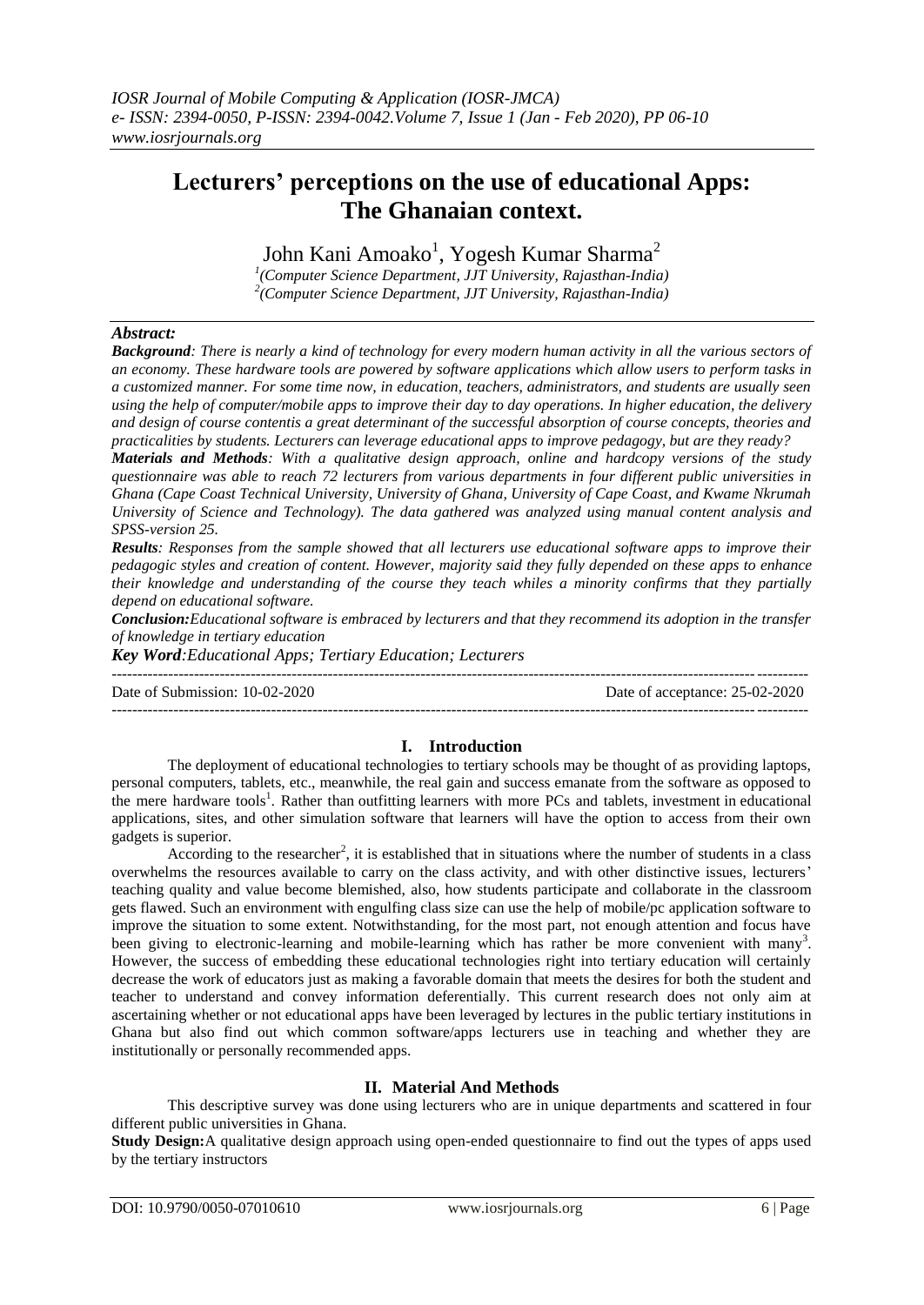# **Lecturers' perceptions on the use of educational Apps: The Ghanaian context.**

John Kani Amoako<sup>1</sup>, Yogesh Kumar Sharma<sup>2</sup>

*1 (Computer Science Department, JJT University, Rajasthan-India) 2 (Computer Science Department, JJT University, Rajasthan-India)*

# *Abstract:*

*Background: There is nearly a kind of technology for every modern human activity in all the various sectors of an economy. These hardware tools are powered by software applications which allow users to perform tasks in a customized manner. For some time now, in education, teachers, administrators, and students are usually seen using the help of computer/mobile apps to improve their day to day operations. In higher education, the delivery and design of course contentis a great determinant of the successful absorption of course concepts, theories and practicalities by students. Lecturers can leverage educational apps to improve pedagogy, but are they ready?*

*Materials and Methods: With a qualitative design approach, online and hardcopy versions of the study questionnaire was able to reach 72 lecturers from various departments in four different public universities in Ghana (Cape Coast Technical University, University of Ghana, University of Cape Coast, and Kwame Nkrumah University of Science and Technology). The data gathered was analyzed using manual content analysis and SPSS-version 25.*

*Results: Responses from the sample showed that all lecturers use educational software apps to improve their pedagogic styles and creation of content. However, majority said they fully depended on these apps to enhance their knowledge and understanding of the course they teach whiles a minority confirms that they partially depend on educational software.*

*Conclusion:Educational software is embraced by lecturers and that they recommend its adoption in the transfer of knowledge in tertiary education*

*Key Word:Educational Apps; Tertiary Education; Lecturers* ---------------------------------------------------------------------------------------------------------------------------------------

Date of Submission: 10-02-2020 Date of acceptance: 25-02-2020

# **I. Introduction**

---------------------------------------------------------------------------------------------------------------------------------------

The deployment of educational technologies to tertiary schools may be thought of as providing laptops, personal computers, tablets, etc., meanwhile, the real gain and success emanate from the software as opposed to the mere hardware tools<sup>1</sup>. Rather than outfitting learners with more PCs and tablets, investment in educational applications, sites, and other simulation software that learners will have the option to access from their own gadgets is superior.

According to the researcher<sup>2</sup>, it is established that in situations where the number of students in a class overwhelms the resources available to carry on the class activity, and with other distinctive issues, lecturers' teaching quality and value become blemished, also, how students participate and collaborate in the classroom gets flawed. Such an environment with engulfing class size can use the help of mobile/pc application software to improve the situation to some extent. Notwithstanding, for the most part, not enough attention and focus have been giving to electronic-learning and mobile-learning which has rather be more convenient with many<sup>3</sup>. However, the success of embedding these educational technologies right into tertiary education will certainly decrease the work of educators just as making a favorable domain that meets the desires for both the student and teacher to understand and convey information deferentially. This current research does not only aim at ascertaining whether or not educational apps have been leveraged by lectures in the public tertiary institutions in Ghana but also find out which common software/apps lecturers use in teaching and whether they are institutionally or personally recommended apps.

# **II. Material And Methods**

This descriptive survey was done using lecturers who are in unique departments and scattered in four different public universities in Ghana.

**Study Design:**A qualitative design approach using open-ended questionnaire to find out the types of apps used by the tertiary instructors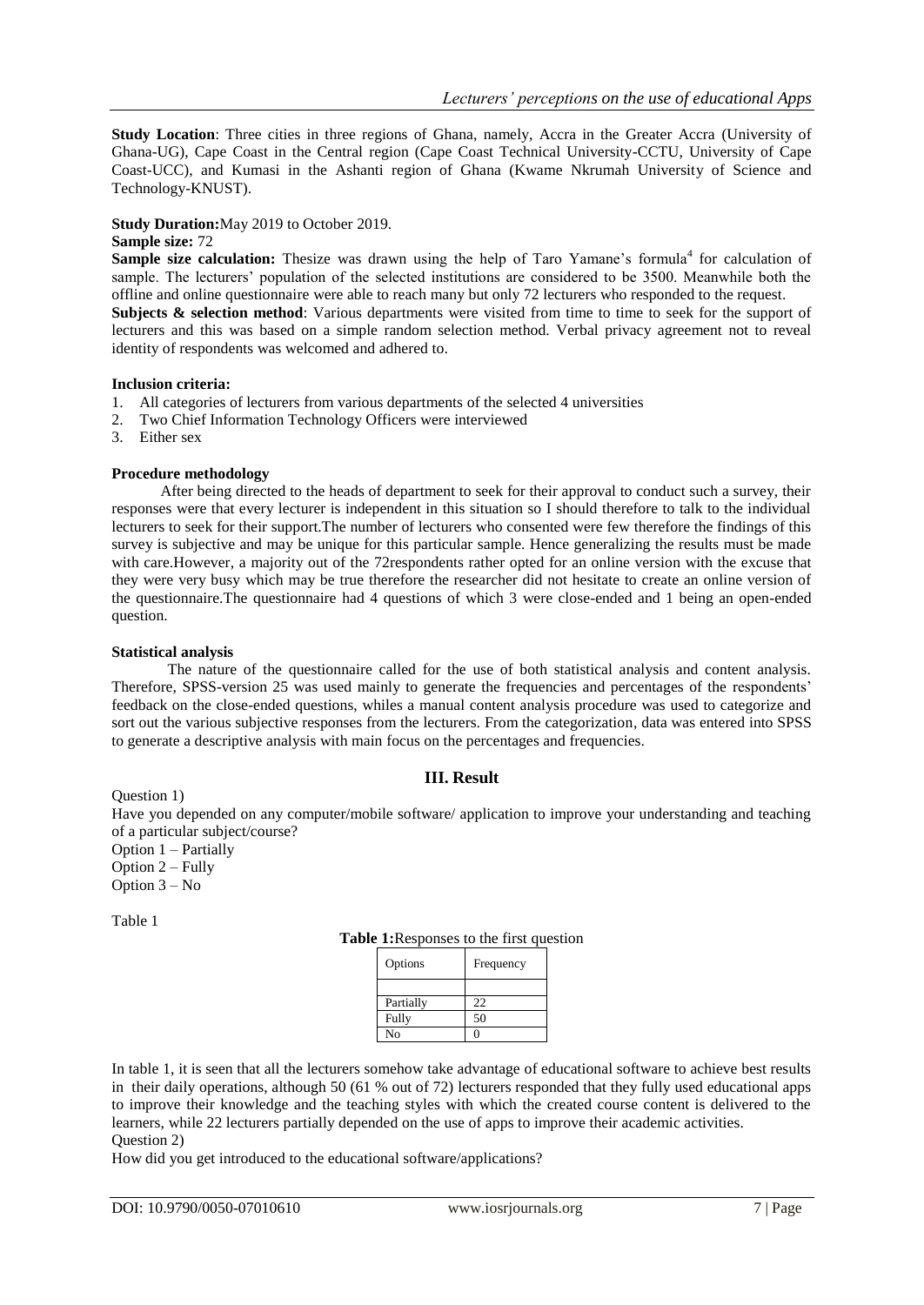**Study Location**: Three cities in three regions of Ghana, namely, Accra in the Greater Accra (University of Ghana-UG), Cape Coast in the Central region (Cape Coast Technical University-CCTU, University of Cape Coast-UCC), and Kumasi in the Ashanti region of Ghana (Kwame Nkrumah University of Science and Technology-KNUST).

## **Study Duration:**May 2019 to October 2019.

#### **Sample size:** 72

**Sample size calculation:** Thesize was drawn using the help of Taro Yamane's formula<sup>4</sup> for calculation of sample. The lecturers' population of the selected institutions are considered to be 3500. Meanwhile both the offline and online questionnaire were able to reach many but only 72 lecturers who responded to the request. **Subjects & selection method**: Various departments were visited from time to time to seek for the support of lecturers and this was based on a simple random selection method. Verbal privacy agreement not to reveal

identity of respondents was welcomed and adhered to.

## **Inclusion criteria:**

- 1. All categories of lecturers from various departments of the selected 4 universities
- 2. Two Chief Information Technology Officers were interviewed
- 3. Either sex

#### **Procedure methodology**

After being directed to the heads of department to seek for their approval to conduct such a survey, their responses were that every lecturer is independent in this situation so I should therefore to talk to the individual lecturers to seek for their support.The number of lecturers who consented were few therefore the findings of this survey is subjective and may be unique for this particular sample. Hence generalizing the results must be made with care.However, a majority out of the 72respondents rather opted for an online version with the excuse that they were very busy which may be true therefore the researcher did not hesitate to create an online version of the questionnaire.The questionnaire had 4 questions of which 3 were close-ended and 1 being an open-ended question.

#### **Statistical analysis**

The nature of the questionnaire called for the use of both statistical analysis and content analysis. Therefore, SPSS-version 25 was used mainly to generate the frequencies and percentages of the respondents' feedback on the close-ended questions, whiles a manual content analysis procedure was used to categorize and sort out the various subjective responses from the lecturers. From the categorization, data was entered into SPSS to generate a descriptive analysis with main focus on the percentages and frequencies.

## **III. Result**

Question 1)

Have you depended on any computer/mobile software/ application to improve your understanding and teaching of a particular subject/course?

Option 1 – Partially Option 2 – Fully

Option 3 – No

Table 1

| Options   | Frequency |
|-----------|-----------|
| Partially | 22        |
| Fully     | 50        |
| No        |           |

**Table 1:**Responses to the first question

In table 1, it is seen that all the lecturers somehow take advantage of educational software to achieve best results in their daily operations, although 50 (61 % out of 72) lecturers responded that they fully used educational apps to improve their knowledge and the teaching styles with which the created course content is delivered to the learners, while 22 lecturers partially depended on the use of apps to improve their academic activities. Question 2)

How did you get introduced to the educational software/applications?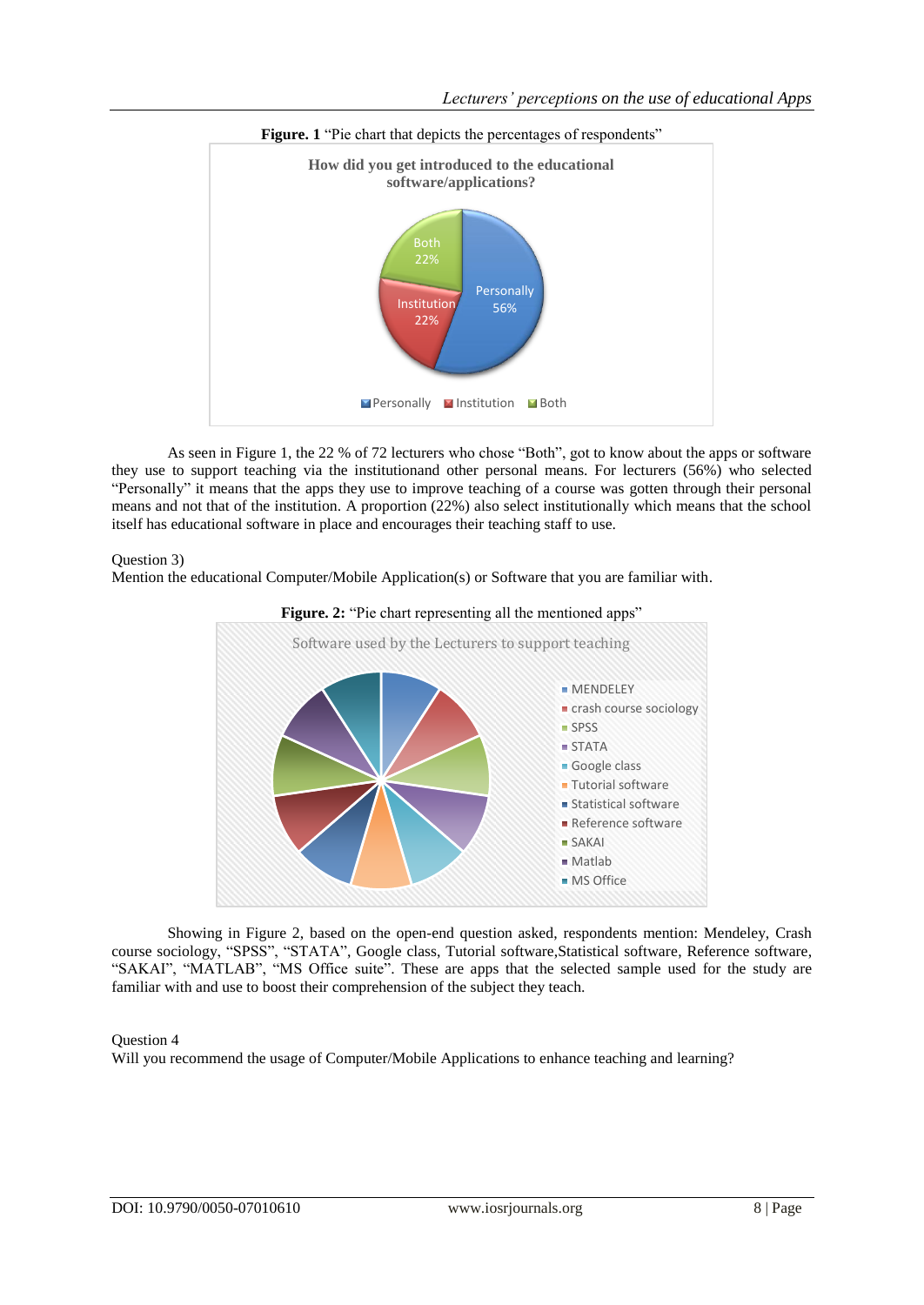

As seen in Figure 1, the 22 % of 72 lecturers who chose "Both", got to know about the apps or software they use to support teaching via the institutionand other personal means. For lecturers (56%) who selected "Personally" it means that the apps they use to improve teaching of a course was gotten through their personal means and not that of the institution. A proportion (22%) also select institutionally which means that the school itself has educational software in place and encourages their teaching staff to use.

# Question 3)

Mention the educational Computer/Mobile Application(s) or Software that you are familiar with.



Figure. 2: "Pie chart representing all the mentioned apps"

Showing in Figure 2, based on the open-end question asked, respondents mention: Mendeley, Crash course sociology, "SPSS", "STATA", Google class, Tutorial software,Statistical software, Reference software, "SAKAI", "MATLAB", "MS Office suite". These are apps that the selected sample used for the study are familiar with and use to boost their comprehension of the subject they teach.

## Question 4

Will you recommend the usage of Computer/Mobile Applications to enhance teaching and learning?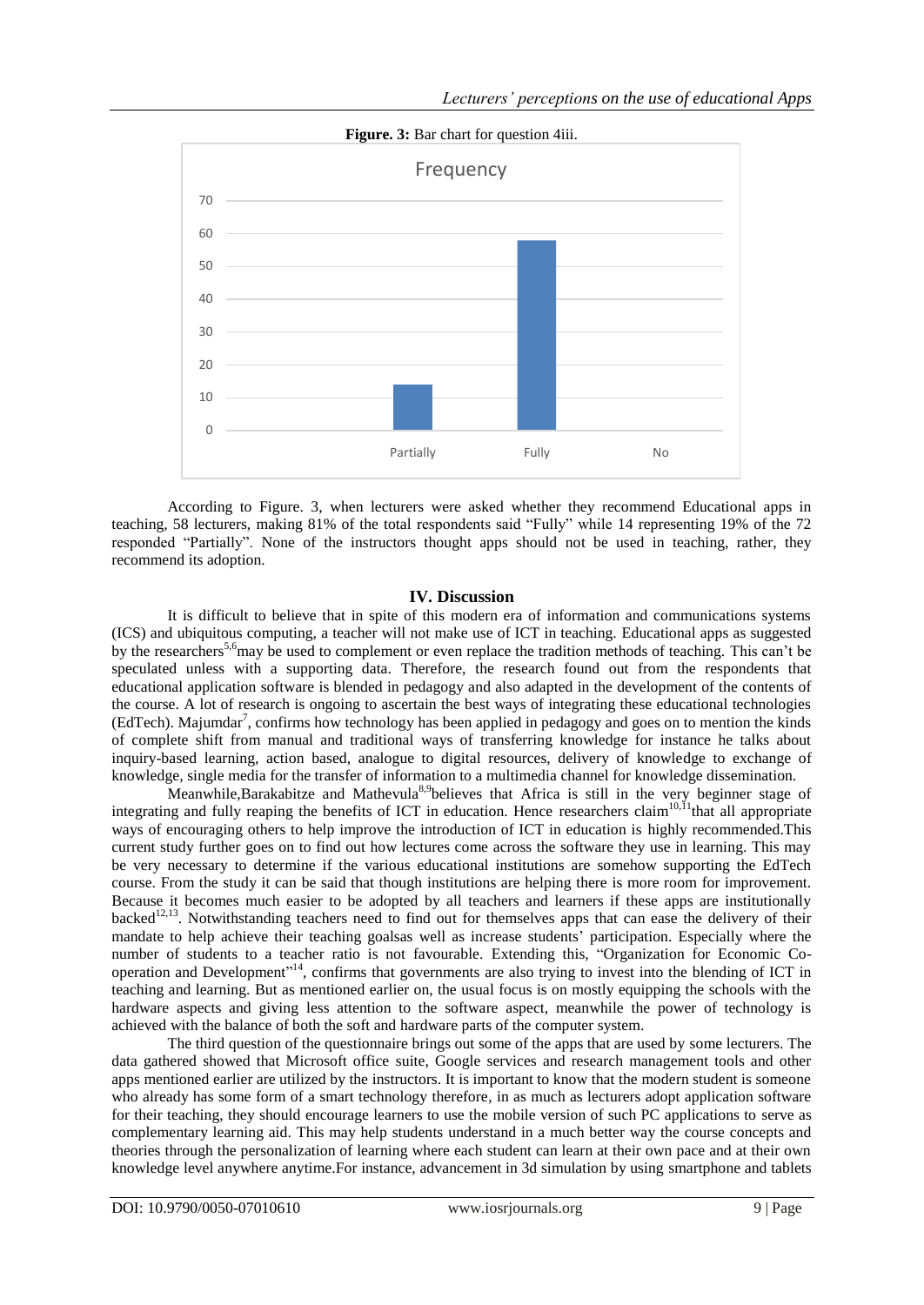

According to Figure. 3, when lecturers were asked whether they recommend Educational apps in teaching, 58 lecturers, making 81% of the total respondents said "Fully" while 14 representing 19% of the 72 responded "Partially". None of the instructors thought apps should not be used in teaching, rather, they recommend its adoption.

## **IV. Discussion**

It is difficult to believe that in spite of this modern era of information and communications systems (ICS) and ubiquitous computing, a teacher will not make use of ICT in teaching. Educational apps as suggested by the researchers<sup>5,6</sup>may be used to complement or even replace the tradition methods of teaching. This can't be speculated unless with a supporting data. Therefore, the research found out from the respondents that educational application software is blended in pedagogy and also adapted in the development of the contents of the course. A lot of research is ongoing to ascertain the best ways of integrating these educational technologies (EdTech). Majumdar<sup>7</sup>, confirms how technology has been applied in pedagogy and goes on to mention the kinds of complete shift from manual and traditional ways of transferring knowledge for instance he talks about inquiry-based learning, action based, analogue to digital resources, delivery of knowledge to exchange of knowledge, single media for the transfer of information to a multimedia channel for knowledge dissemination.

Meanwhile,Barakabitze and Mathevula<sup>8,9</sup>believes that Africa is still in the very beginner stage of integrating and fully reaping the benefits of ICT in education. Hence researchers claim<sup>10,11</sup>that all appropriate ways of encouraging others to help improve the introduction of ICT in education is highly recommended.This current study further goes on to find out how lectures come across the software they use in learning. This may be very necessary to determine if the various educational institutions are somehow supporting the EdTech course. From the study it can be said that though institutions are helping there is more room for improvement. Because it becomes much easier to be adopted by all teachers and learners if these apps are institutionally backed<sup>12,13</sup>. Notwithstanding teachers need to find out for themselves apps that can ease the delivery of their mandate to help achieve their teaching goalsas well as increase students' participation. Especially where the number of students to a teacher ratio is not favourable. Extending this, "Organization for Economic Cooperation and Development"<sup>14</sup>, confirms that governments are also trying to invest into the blending of ICT in teaching and learning. But as mentioned earlier on, the usual focus is on mostly equipping the schools with the hardware aspects and giving less attention to the software aspect, meanwhile the power of technology is achieved with the balance of both the soft and hardware parts of the computer system.

The third question of the questionnaire brings out some of the apps that are used by some lecturers. The data gathered showed that Microsoft office suite, Google services and research management tools and other apps mentioned earlier are utilized by the instructors. It is important to know that the modern student is someone who already has some form of a smart technology therefore, in as much as lecturers adopt application software for their teaching, they should encourage learners to use the mobile version of such PC applications to serve as complementary learning aid. This may help students understand in a much better way the course concepts and theories through the personalization of learning where each student can learn at their own pace and at their own knowledge level anywhere anytime.For instance, advancement in 3d simulation by using smartphone and tablets